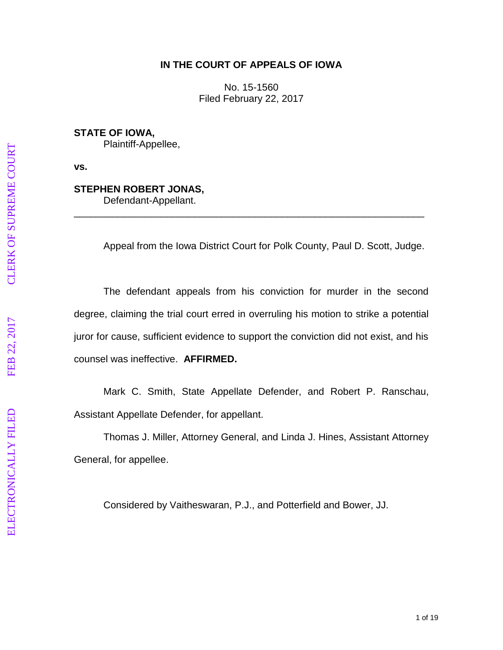## **IN THE COURT OF APPEALS OF IOWA**

No. 15 -1560 Filed February 22, 2017

**STATE OF IOWA,** Plaintiff -Appellee,

**vs.**

#### **STEPHEN ROBERT JONAS ,**

Defendant -Appellant.

Appeal from the Iowa District Court for Polk County, Paul D. Scott, Judge.

\_\_\_\_\_\_\_\_\_\_\_\_\_\_\_\_\_\_\_\_\_\_\_\_\_\_\_\_\_\_\_\_\_\_\_\_\_\_\_\_\_\_\_\_\_\_\_\_\_\_\_\_\_\_\_\_\_\_\_\_\_\_\_\_

The defendant appeals from his conviction for murder in the second degree, claiming the trial court erred in overruling his motion to strike a potential juror for cause, sufficient evidence to support the conviction did not exist, and his counsel was ineffective . **AFFIRMED.**

Mark C. Smith, State Appellate Defender, and Robert P. Ranschau, Assistant Appellate Defender, for appellant.

Thomas J. Miller, Attorney General, and Linda J. Hines, Assistant Attorney General, for appellee.

Considered by Vaitheswaran, P.J., and Potterfield and Bower, JJ.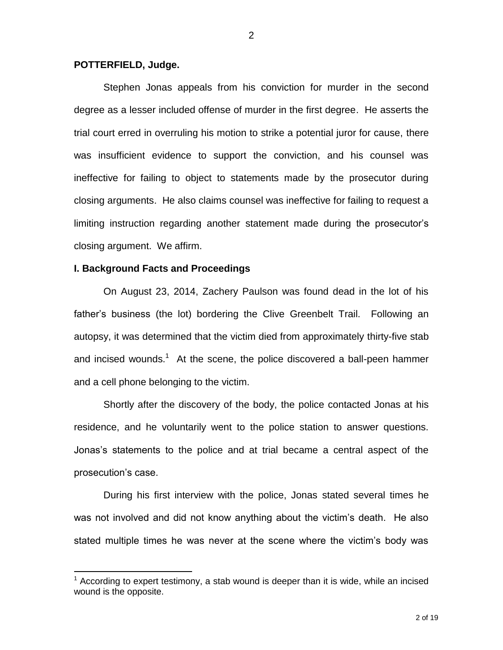#### **POTTERFIELD, Judge.**

Stephen Jonas appeals from his conviction for murder in the second degree as a lesser included offense of murder in the first degree. He asserts the trial court erred in overruling his motion to strike a potential juror for cause, there was insufficient evidence to support the conviction, and his counsel was ineffective for failing to object to statements made by the prosecutor during closing arguments. He also claims counsel was ineffective for failing to request a limiting instruction regarding another statement made during the prosecutor's closing argument. We affirm.

#### **I. Background Facts and Proceedings**

 $\overline{a}$ 

On August 23, 2014, Zachery Paulson was found dead in the lot of his father's business (the lot) bordering the Clive Greenbelt Trail. Following an autopsy, it was determined that the victim died from approximately thirty-five stab and incised wounds.<sup>1</sup> At the scene, the police discovered a ball-peen hammer and a cell phone belonging to the victim.

Shortly after the discovery of the body, the police contacted Jonas at his residence, and he voluntarily went to the police station to answer questions. Jonas's statements to the police and at trial became a central aspect of the prosecution's case.

During his first interview with the police, Jonas stated several times he was not involved and did not know anything about the victim's death. He also stated multiple times he was never at the scene where the victim's body was

 $1$  According to expert testimony, a stab wound is deeper than it is wide, while an incised wound is the opposite.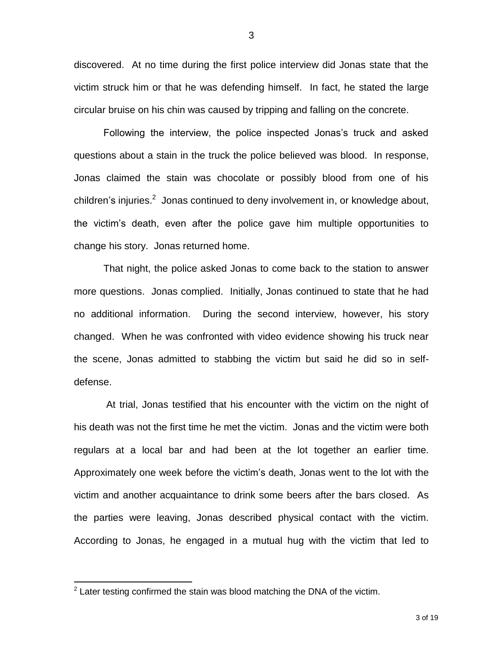discovered. At no time during the first police interview did Jonas state that the victim struck him or that he was defending himself. In fact, he stated the large circular bruise on his chin was caused by tripping and falling on the concrete.

Following the interview, the police inspected Jonas's truck and asked questions about a stain in the truck the police believed was blood. In response, Jonas claimed the stain was chocolate or possibly blood from one of his children's injuries.<sup>2</sup> Jonas continued to deny involvement in, or knowledge about, the victim's death, even after the police gave him multiple opportunities to change his story. Jonas returned home.

That night, the police asked Jonas to come back to the station to answer more questions. Jonas complied. Initially, Jonas continued to state that he had no additional information. During the second interview, however, his story changed. When he was confronted with video evidence showing his truck near the scene, Jonas admitted to stabbing the victim but said he did so in selfdefense.

At trial, Jonas testified that his encounter with the victim on the night of his death was not the first time he met the victim. Jonas and the victim were both regulars at a local bar and had been at the lot together an earlier time. Approximately one week before the victim's death, Jonas went to the lot with the victim and another acquaintance to drink some beers after the bars closed. As the parties were leaving, Jonas described physical contact with the victim. According to Jonas, he engaged in a mutual hug with the victim that led to

 2 Later testing confirmed the stain was blood matching the DNA of the victim.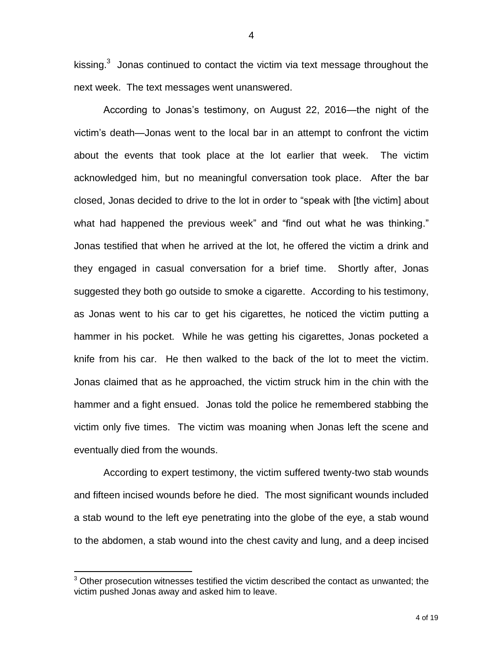kissing. $3$  Jonas continued to contact the victim via text message throughout the next week. The text messages went unanswered.

According to Jonas's testimony, on August 22, 2016—the night of the victim's death—Jonas went to the local bar in an attempt to confront the victim about the events that took place at the lot earlier that week. The victim acknowledged him, but no meaningful conversation took place. After the bar closed, Jonas decided to drive to the lot in order to "speak with [the victim] about what had happened the previous week" and "find out what he was thinking." Jonas testified that when he arrived at the lot, he offered the victim a drink and they engaged in casual conversation for a brief time. Shortly after, Jonas suggested they both go outside to smoke a cigarette. According to his testimony, as Jonas went to his car to get his cigarettes, he noticed the victim putting a hammer in his pocket. While he was getting his cigarettes, Jonas pocketed a knife from his car. He then walked to the back of the lot to meet the victim. Jonas claimed that as he approached, the victim struck him in the chin with the hammer and a fight ensued. Jonas told the police he remembered stabbing the victim only five times. The victim was moaning when Jonas left the scene and eventually died from the wounds.

According to expert testimony, the victim suffered twenty-two stab wounds and fifteen incised wounds before he died. The most significant wounds included a stab wound to the left eye penetrating into the globe of the eye, a stab wound to the abdomen, a stab wound into the chest cavity and lung, and a deep incised

 $\overline{a}$ 

<sup>&</sup>lt;sup>3</sup> Other prosecution witnesses testified the victim described the contact as unwanted; the victim pushed Jonas away and asked him to leave.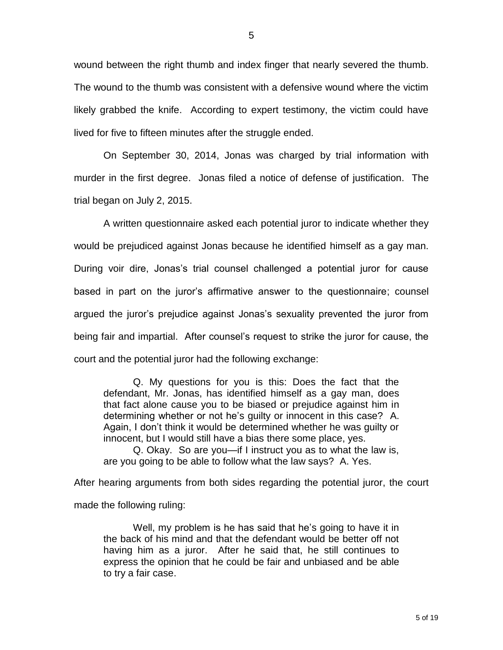wound between the right thumb and index finger that nearly severed the thumb. The wound to the thumb was consistent with a defensive wound where the victim likely grabbed the knife. According to expert testimony, the victim could have lived for five to fifteen minutes after the struggle ended.

On September 30, 2014, Jonas was charged by trial information with murder in the first degree. Jonas filed a notice of defense of justification. The trial began on July 2, 2015.

A written questionnaire asked each potential juror to indicate whether they would be prejudiced against Jonas because he identified himself as a gay man. During voir dire, Jonas's trial counsel challenged a potential juror for cause based in part on the juror's affirmative answer to the questionnaire; counsel argued the juror's prejudice against Jonas's sexuality prevented the juror from being fair and impartial. After counsel's request to strike the juror for cause, the court and the potential juror had the following exchange:

Q. My questions for you is this: Does the fact that the defendant, Mr. Jonas, has identified himself as a gay man, does that fact alone cause you to be biased or prejudice against him in determining whether or not he's guilty or innocent in this case? A. Again, I don't think it would be determined whether he was guilty or innocent, but I would still have a bias there some place, yes.

Q. Okay. So are you—if I instruct you as to what the law is, are you going to be able to follow what the law says? A. Yes.

After hearing arguments from both sides regarding the potential juror, the court

made the following ruling:

Well, my problem is he has said that he's going to have it in the back of his mind and that the defendant would be better off not having him as a juror. After he said that, he still continues to express the opinion that he could be fair and unbiased and be able to try a fair case.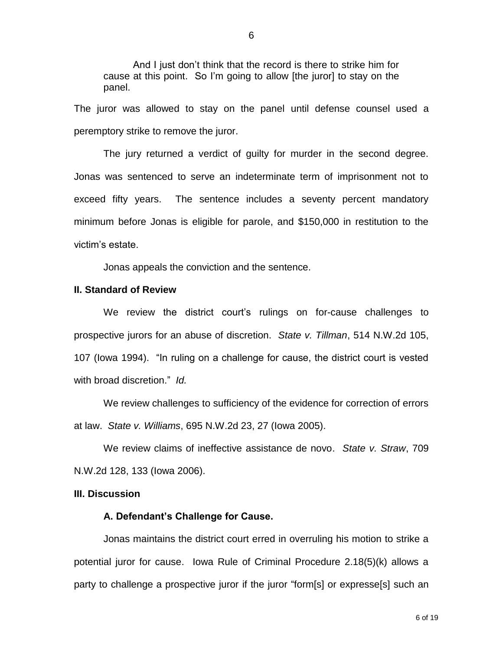And I just don't think that the record is there to strike him for cause at this point. So I'm going to allow [the juror] to stay on the panel.

The juror was allowed to stay on the panel until defense counsel used a peremptory strike to remove the juror.

The jury returned a verdict of guilty for murder in the second degree. Jonas was sentenced to serve an indeterminate term of imprisonment not to exceed fifty years. The sentence includes a seventy percent mandatory minimum before Jonas is eligible for parole, and \$150,000 in restitution to the victim's estate.

Jonas appeals the conviction and the sentence.

#### **II. Standard of Review**

We review the district court's rulings on for-cause challenges to prospective jurors for an abuse of discretion. *State v. Tillman*, 514 N.W.2d 105, 107 (Iowa 1994). "In ruling on a challenge for cause, the district court is vested with broad discretion." *Id.* 

We review challenges to sufficiency of the evidence for correction of errors at law. *State v. Williams*, 695 N.W.2d 23, 27 (Iowa 2005).

We review claims of ineffective assistance de novo. *State v. Straw*, 709 N.W.2d 128, 133 (Iowa 2006).

#### **III. Discussion**

#### **A. Defendant's Challenge for Cause.**

Jonas maintains the district court erred in overruling his motion to strike a potential juror for cause. Iowa Rule of Criminal Procedure 2.18(5)(k) allows a party to challenge a prospective juror if the juror "form[s] or expresse[s] such an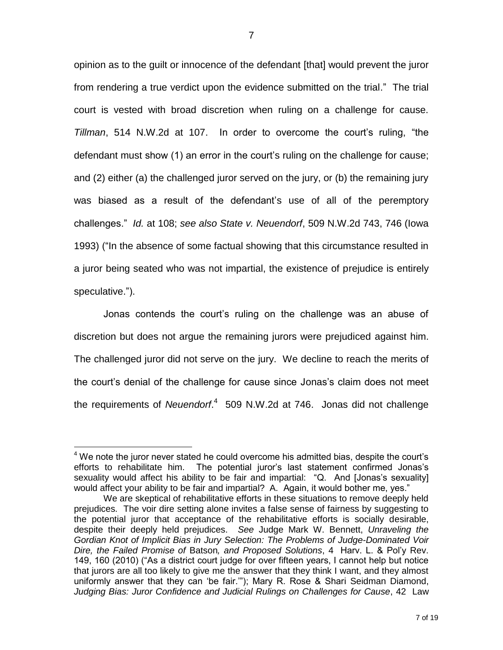opinion as to the guilt or innocence of the defendant [that] would prevent the juror from rendering a true verdict upon the evidence submitted on the trial." The trial court is vested with broad discretion when ruling on a challenge for cause. *Tillman*, 514 N.W.2d at 107. In order to overcome the court's ruling, "the defendant must show (1) an error in the court's ruling on the challenge for cause; and (2) either (a) the challenged juror served on the jury, or (b) the remaining jury was biased as a result of the defendant's use of all of the peremptory challenges." *Id.* at 108; *see also State v. Neuendorf*, 509 N.W.2d 743, 746 (Iowa 1993) ("In the absence of some factual showing that this circumstance resulted in a juror being seated who was not impartial, the existence of prejudice is entirely speculative.").

Jonas contends the court's ruling on the challenge was an abuse of discretion but does not argue the remaining jurors were prejudiced against him. The challenged juror did not serve on the jury. We decline to reach the merits of the court's denial of the challenge for cause since Jonas's claim does not meet the requirements of *Neuendorf*. 4 509 N.W.2d at 746. Jonas did not challenge

 $4$  We note the juror never stated he could overcome his admitted bias, despite the court's efforts to rehabilitate him. The potential juror's last statement confirmed Jonas's sexuality would affect his ability to be fair and impartial: "Q. And [Jonas's sexuality] would affect your ability to be fair and impartial? A. Again, it would bother me, yes."

We are skeptical of rehabilitative efforts in these situations to remove deeply held prejudices. The voir dire setting alone invites a false sense of fairness by suggesting to the potential juror that acceptance of the rehabilitative efforts is socially desirable, despite their deeply held prejudices. *See* Judge Mark W. Bennett, *Unraveling the Gordian Knot of Implicit Bias in Jury Selection: The Problems of Judge-Dominated Voir Dire, the Failed Promise of* Batson*, and Proposed Solutions*, 4 Harv. L. & Pol'y Rev. 149, 160 (2010) ("As a district court judge for over fifteen years, I cannot help but notice that jurors are all too likely to give me the answer that they think I want, and they almost uniformly answer that they can 'be fair.'"); Mary R. Rose & Shari Seidman Diamond, *Judging Bias: Juror Confidence and Judicial Rulings on Challenges for Cause*, 42 Law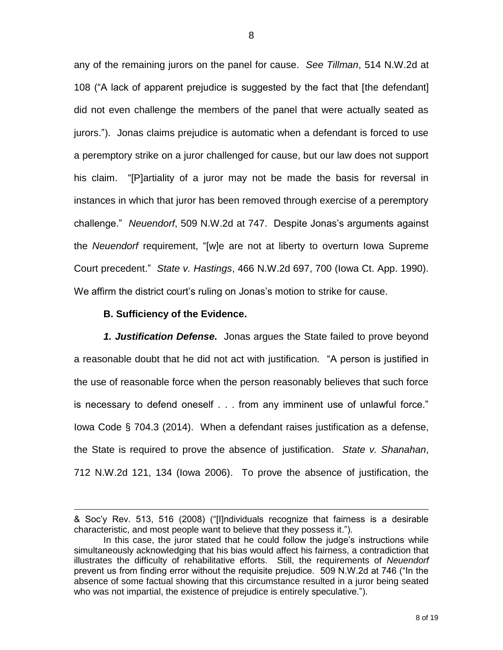any of the remaining jurors on the panel for cause. *See Tillman*, 514 N.W.2d at 108 ("A lack of apparent prejudice is suggested by the fact that [the defendant] did not even challenge the members of the panel that were actually seated as jurors."). Jonas claims prejudice is automatic when a defendant is forced to use a peremptory strike on a juror challenged for cause, but our law does not support his claim. "[P]artiality of a juror may not be made the basis for reversal in instances in which that juror has been removed through exercise of a peremptory challenge." *Neuendorf*, 509 N.W.2d at 747. Despite Jonas's arguments against the *Neuendorf* requirement, "[w]e are not at liberty to overturn Iowa Supreme Court precedent." *State v. Hastings*, 466 N.W.2d 697, 700 (Iowa Ct. App. 1990). We affirm the district court's ruling on Jonas's motion to strike for cause.

#### **B. Sufficiency of the Evidence.**

 $\overline{a}$ 

*1. Justification Defense.* Jonas argues the State failed to prove beyond a reasonable doubt that he did not act with justification. "A person is justified in the use of reasonable force when the person reasonably believes that such force is necessary to defend oneself . . . from any imminent use of unlawful force." Iowa Code § 704.3 (2014). When a defendant raises justification as a defense, the State is required to prove the absence of justification. *State v. Shanahan*, 712 N.W.2d 121, 134 (Iowa 2006). To prove the absence of justification, the

<sup>&</sup>amp; Soc'y Rev. 513, 516 (2008) ("[I]ndividuals recognize that fairness is a desirable characteristic, and most people want to believe that they possess it.").

In this case, the juror stated that he could follow the judge's instructions while simultaneously acknowledging that his bias would affect his fairness, a contradiction that illustrates the difficulty of rehabilitative efforts. Still, the requirements of *Neuendorf* prevent us from finding error without the requisite prejudice. 509 N.W.2d at 746 ("In the absence of some factual showing that this circumstance resulted in a juror being seated who was not impartial, the existence of prejudice is entirely speculative.").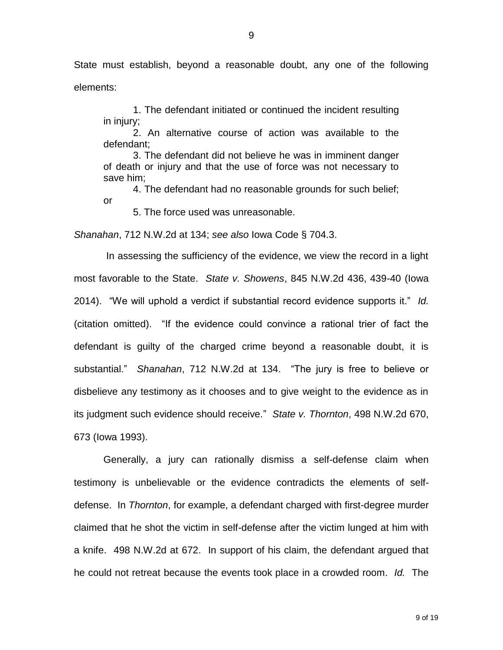State must establish, beyond a reasonable doubt, any one of the following elements:

1. The defendant initiated or continued the incident resulting in injury;

2. An alternative course of action was available to the defendant;

3. The defendant did not believe he was in imminent danger of death or injury and that the use of force was not necessary to save him;

4. The defendant had no reasonable grounds for such belief;

or

5. The force used was unreasonable.

*Shanahan*, 712 N.W.2d at 134; *see also* Iowa Code § 704.3.

In assessing the sufficiency of the evidence, we view the record in a light most favorable to the State. *State v. Showens*, 845 N.W.2d 436, 439-40 (Iowa 2014). "We will uphold a verdict if substantial record evidence supports it." *Id.* (citation omitted). "If the evidence could convince a rational trier of fact the defendant is guilty of the charged crime beyond a reasonable doubt, it is substantial." *Shanahan*, 712 N.W.2d at 134. "The jury is free to believe or disbelieve any testimony as it chooses and to give weight to the evidence as in its judgment such evidence should receive." *State v. Thornton*, 498 N.W.2d 670, 673 (Iowa 1993).

Generally, a jury can rationally dismiss a self-defense claim when testimony is unbelievable or the evidence contradicts the elements of selfdefense. In *Thornton*, for example, a defendant charged with first-degree murder claimed that he shot the victim in self-defense after the victim lunged at him with a knife. 498 N.W.2d at 672. In support of his claim, the defendant argued that he could not retreat because the events took place in a crowded room. *Id.* The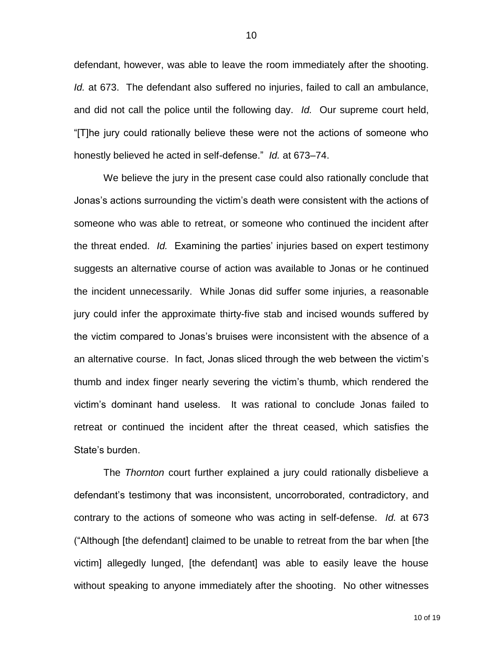defendant, however, was able to leave the room immediately after the shooting. *Id.* at 673. The defendant also suffered no injuries, failed to call an ambulance, and did not call the police until the following day. *Id.* Our supreme court held, "[T]he jury could rationally believe these were not the actions of someone who honestly believed he acted in self-defense." *Id.* at 673–74.

We believe the jury in the present case could also rationally conclude that Jonas's actions surrounding the victim's death were consistent with the actions of someone who was able to retreat, or someone who continued the incident after the threat ended. *Id.* Examining the parties' injuries based on expert testimony suggests an alternative course of action was available to Jonas or he continued the incident unnecessarily. While Jonas did suffer some injuries, a reasonable jury could infer the approximate thirty-five stab and incised wounds suffered by the victim compared to Jonas's bruises were inconsistent with the absence of a an alternative course. In fact, Jonas sliced through the web between the victim's thumb and index finger nearly severing the victim's thumb, which rendered the victim's dominant hand useless. It was rational to conclude Jonas failed to retreat or continued the incident after the threat ceased, which satisfies the State's burden.

The *Thornton* court further explained a jury could rationally disbelieve a defendant's testimony that was inconsistent, uncorroborated, contradictory, and contrary to the actions of someone who was acting in self-defense. *Id.* at 673 ("Although [the defendant] claimed to be unable to retreat from the bar when [the victim] allegedly lunged, [the defendant] was able to easily leave the house without speaking to anyone immediately after the shooting. No other witnesses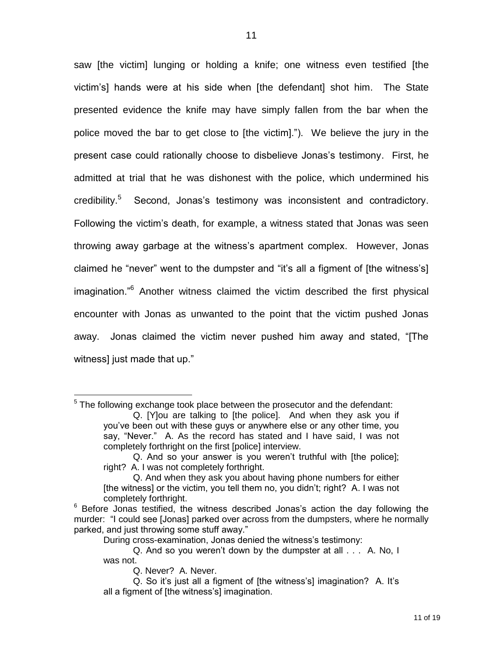saw [the victim] lunging or holding a knife; one witness even testified [the victim's] hands were at his side when [the defendant] shot him. The State presented evidence the knife may have simply fallen from the bar when the police moved the bar to get close to [the victim]."). We believe the jury in the present case could rationally choose to disbelieve Jonas's testimony. First, he admitted at trial that he was dishonest with the police, which undermined his credibility.<sup>5</sup> Second, Jonas's testimony was inconsistent and contradictory. Following the victim's death, for example, a witness stated that Jonas was seen throwing away garbage at the witness's apartment complex. However, Jonas claimed he "never" went to the dumpster and "it's all a figment of [the witness's] imagination."<sup>6</sup> Another witness claimed the victim described the first physical encounter with Jonas as unwanted to the point that the victim pushed Jonas away. Jonas claimed the victim never pushed him away and stated, "[The witness] just made that up."

 $5$  The following exchange took place between the prosecutor and the defendant:

Q. [Y]ou are talking to [the police]. And when they ask you if you've been out with these guys or anywhere else or any other time, you say, "Never." A. As the record has stated and I have said, I was not completely forthright on the first [police] interview.

Q. And so your answer is you weren't truthful with [the police]; right? A. I was not completely forthright.

Q. And when they ask you about having phone numbers for either [the witness] or the victim, you tell them no, you didn't; right? A. I was not completely forthright.

 $6$  Before Jonas testified, the witness described Jonas's action the day following the murder: "I could see [Jonas] parked over across from the dumpsters, where he normally parked, and just throwing some stuff away."

During cross-examination, Jonas denied the witness's testimony:

Q. And so you weren't down by the dumpster at all . . . A. No, I was not.

Q. Never? A. Never.

Q. So it's just all a figment of [the witness's] imagination? A. It's all a figment of [the witness's] imagination.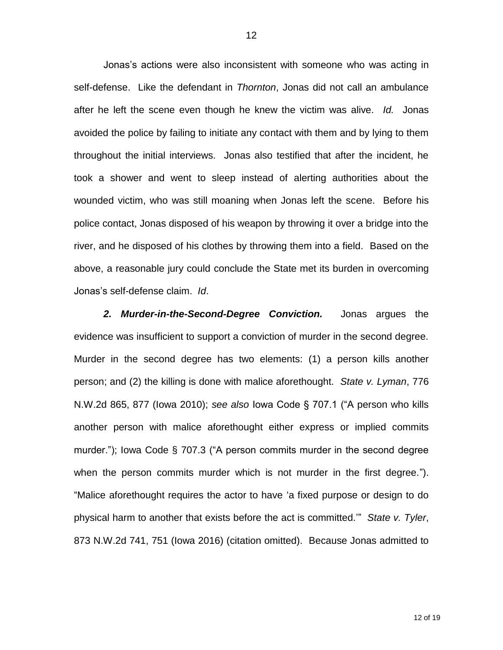Jonas's actions were also inconsistent with someone who was acting in self-defense. Like the defendant in *Thornton*, Jonas did not call an ambulance after he left the scene even though he knew the victim was alive. *Id.* Jonas avoided the police by failing to initiate any contact with them and by lying to them throughout the initial interviews. Jonas also testified that after the incident, he took a shower and went to sleep instead of alerting authorities about the wounded victim, who was still moaning when Jonas left the scene. Before his police contact, Jonas disposed of his weapon by throwing it over a bridge into the river, and he disposed of his clothes by throwing them into a field. Based on the above, a reasonable jury could conclude the State met its burden in overcoming Jonas's self-defense claim. *Id*.

*2. Murder-in-the-Second-Degree Conviction.* Jonas argues the evidence was insufficient to support a conviction of murder in the second degree. Murder in the second degree has two elements: (1) a person kills another person; and (2) the killing is done with malice aforethought. *State v. Lyman*, 776 N.W.2d 865, 877 (Iowa 2010); *see also* Iowa Code § 707.1 ("A person who kills another person with malice aforethought either express or implied commits murder."); Iowa Code § 707.3 ("A person commits murder in the second degree when the person commits murder which is not murder in the first degree."). "Malice aforethought requires the actor to have 'a fixed purpose or design to do physical harm to another that exists before the act is committed.'" *State v. Tyler*, 873 N.W.2d 741, 751 (Iowa 2016) (citation omitted). Because Jonas admitted to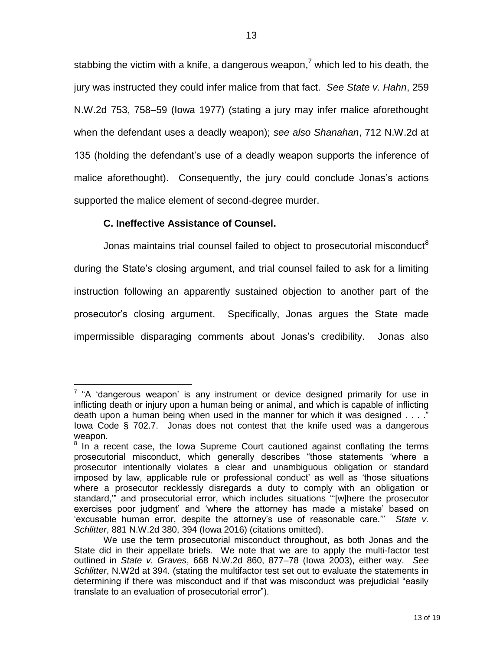stabbing the victim with a knife, a dangerous weapon,<sup>7</sup> which led to his death, the jury was instructed they could infer malice from that fact. *See State v. Hahn*, 259 N.W.2d 753, 758–59 (Iowa 1977) (stating a jury may infer malice aforethought when the defendant uses a deadly weapon); *see also Shanahan*, 712 N.W.2d at 135 (holding the defendant's use of a deadly weapon supports the inference of malice aforethought). Consequently, the jury could conclude Jonas's actions supported the malice element of second-degree murder.

# **C. Ineffective Assistance of Counsel.**

Jonas maintains trial counsel failed to object to prosecutorial misconduct<sup>8</sup> during the State's closing argument, and trial counsel failed to ask for a limiting instruction following an apparently sustained objection to another part of the prosecutor's closing argument. Specifically, Jonas argues the State made impermissible disparaging comments about Jonas's credibility. Jonas also

 $\overline{a}$  $7$  "A 'dangerous weapon' is any instrument or device designed primarily for use in inflicting death or injury upon a human being or animal, and which is capable of inflicting death upon a human being when used in the manner for which it was designed . . . ." Iowa Code § 702.7. Jonas does not contest that the knife used was a dangerous weapon.

<sup>&</sup>lt;sup>8</sup> In a recent case, the Iowa Supreme Court cautioned against conflating the terms prosecutorial misconduct, which generally describes "those statements 'where a prosecutor intentionally violates a clear and unambiguous obligation or standard imposed by law, applicable rule or professional conduct' as well as 'those situations where a prosecutor recklessly disregards a duty to comply with an obligation or standard,'" and prosecutorial error, which includes situations "'[w]here the prosecutor exercises poor judgment' and 'where the attorney has made a mistake' based on 'excusable human error, despite the attorney's use of reasonable care.'" *State v. Schlitter*, 881 N.W.2d 380, 394 (Iowa 2016) (citations omitted).

We use the term prosecutorial misconduct throughout, as both Jonas and the State did in their appellate briefs. We note that we are to apply the multi-factor test outlined in *State v. Graves*, 668 N.W.2d 860, 877–78 (Iowa 2003), either way. *See Schlitter*, N.W2d at 394*.* (stating the multifactor test set out to evaluate the statements in determining if there was misconduct and if that was misconduct was prejudicial "easily translate to an evaluation of prosecutorial error").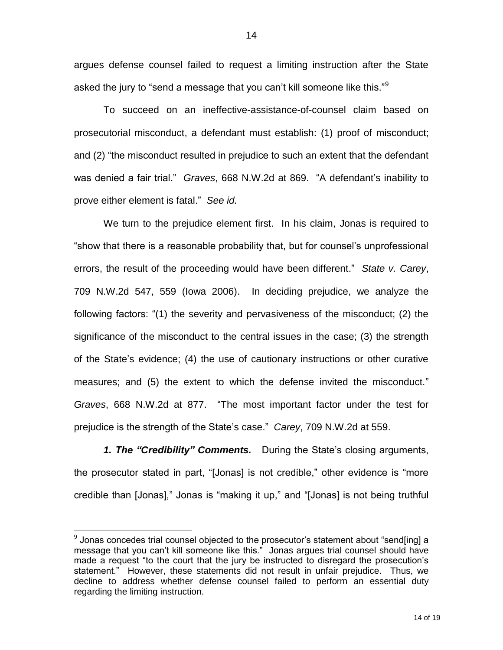argues defense counsel failed to request a limiting instruction after the State asked the jury to "send a message that you can't kill someone like this." $9$ 

To succeed on an ineffective-assistance-of-counsel claim based on prosecutorial misconduct, a defendant must establish: (1) proof of misconduct; and (2) "the misconduct resulted in prejudice to such an extent that the defendant was denied a fair trial." *Graves*, 668 N.W.2d at 869. "A defendant's inability to prove either element is fatal." *See id.* 

We turn to the prejudice element first. In his claim, Jonas is required to "show that there is a reasonable probability that, but for counsel's unprofessional errors, the result of the proceeding would have been different." *State v. Carey*, 709 N.W.2d 547, 559 (Iowa 2006). In deciding prejudice, we analyze the following factors: "(1) the severity and pervasiveness of the misconduct; (2) the significance of the misconduct to the central issues in the case; (3) the strength of the State's evidence; (4) the use of cautionary instructions or other curative measures; and (5) the extent to which the defense invited the misconduct." *Graves*, 668 N.W.2d at 877. "The most important factor under the test for prejudice is the strength of the State's case." *Carey*, 709 N.W.2d at 559.

*1. The "Credibility" Comments.* During the State's closing arguments, the prosecutor stated in part, "[Jonas] is not credible," other evidence is "more credible than [Jonas]," Jonas is "making it up," and "[Jonas] is not being truthful

<sup>&</sup>lt;sup>9</sup> Jonas concedes trial counsel objected to the prosecutor's statement about "send[ing] a message that you can't kill someone like this." Jonas argues trial counsel should have made a request "to the court that the jury be instructed to disregard the prosecution's statement." However, these statements did not result in unfair prejudice. Thus, we decline to address whether defense counsel failed to perform an essential duty regarding the limiting instruction.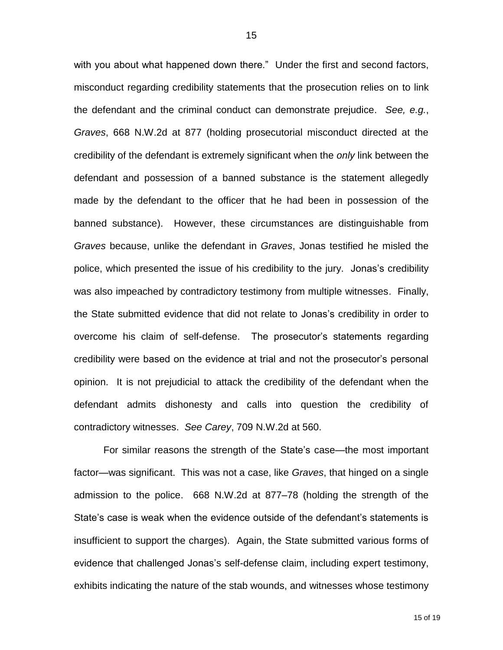with you about what happened down there." Under the first and second factors, misconduct regarding credibility statements that the prosecution relies on to link the defendant and the criminal conduct can demonstrate prejudice. *See, e.g.*, *Graves*, 668 N.W.2d at 877 (holding prosecutorial misconduct directed at the credibility of the defendant is extremely significant when the *only* link between the defendant and possession of a banned substance is the statement allegedly made by the defendant to the officer that he had been in possession of the banned substance). However, these circumstances are distinguishable from *Graves* because, unlike the defendant in *Graves*, Jonas testified he misled the police, which presented the issue of his credibility to the jury. Jonas's credibility was also impeached by contradictory testimony from multiple witnesses. Finally, the State submitted evidence that did not relate to Jonas's credibility in order to overcome his claim of self-defense. The prosecutor's statements regarding credibility were based on the evidence at trial and not the prosecutor's personal opinion. It is not prejudicial to attack the credibility of the defendant when the defendant admits dishonesty and calls into question the credibility of contradictory witnesses. *See Carey*, 709 N.W.2d at 560.

For similar reasons the strength of the State's case—the most important factor—was significant. This was not a case, like *Graves*, that hinged on a single admission to the police. 668 N.W.2d at 877–78 (holding the strength of the State's case is weak when the evidence outside of the defendant's statements is insufficient to support the charges). Again, the State submitted various forms of evidence that challenged Jonas's self-defense claim, including expert testimony, exhibits indicating the nature of the stab wounds, and witnesses whose testimony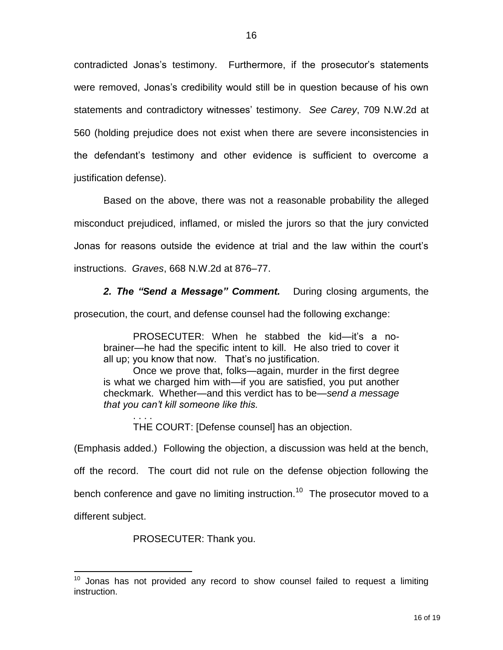contradicted Jonas's testimony. Furthermore, if the prosecutor's statements were removed, Jonas's credibility would still be in question because of his own statements and contradictory witnesses' testimony. *See Carey*, 709 N.W.2d at 560 (holding prejudice does not exist when there are severe inconsistencies in the defendant's testimony and other evidence is sufficient to overcome a justification defense).

Based on the above, there was not a reasonable probability the alleged misconduct prejudiced, inflamed, or misled the jurors so that the jury convicted Jonas for reasons outside the evidence at trial and the law within the court's instructions. *Graves*, 668 N.W.2d at 876–77.

*2. The "Send a Message" Comment.* During closing arguments, the

prosecution, the court, and defense counsel had the following exchange:

PROSECUTER: When he stabbed the kid—it's a nobrainer—he had the specific intent to kill. He also tried to cover it all up; you know that now. That's no justification.

Once we prove that, folks—again, murder in the first degree is what we charged him with—if you are satisfied, you put another checkmark. Whether—and this verdict has to be—*send a message that you can't kill someone like this.* 

. . . . THE COURT: [Defense counsel] has an objection.

(Emphasis added.) Following the objection, a discussion was held at the bench, off the record. The court did not rule on the defense objection following the bench conference and gave no limiting instruction.<sup>10</sup> The prosecutor moved to a different subject.

PROSECUTER: Thank you.

 $10$  Jonas has not provided any record to show counsel failed to request a limiting instruction.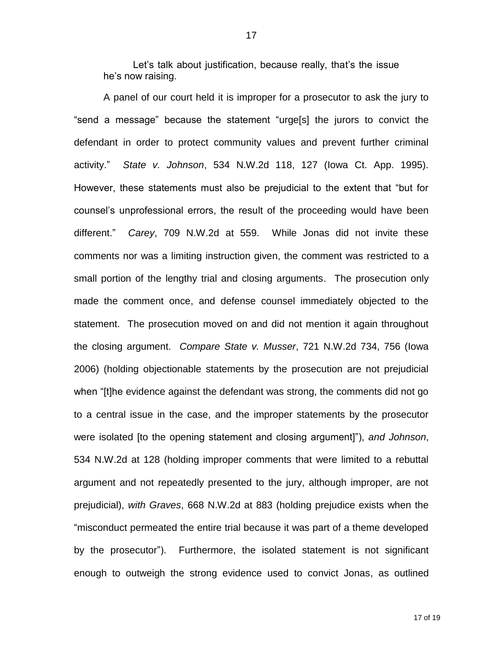Let's talk about justification, because really, that's the issue he's now raising.

A panel of our court held it is improper for a prosecutor to ask the jury to "send a message" because the statement "urge[s] the jurors to convict the defendant in order to protect community values and prevent further criminal activity." *State v. Johnson*, 534 N.W.2d 118, 127 (Iowa Ct. App. 1995). However, these statements must also be prejudicial to the extent that "but for counsel's unprofessional errors, the result of the proceeding would have been different." *Carey*, 709 N.W.2d at 559. While Jonas did not invite these comments nor was a limiting instruction given, the comment was restricted to a small portion of the lengthy trial and closing arguments. The prosecution only made the comment once, and defense counsel immediately objected to the statement. The prosecution moved on and did not mention it again throughout the closing argument. *Compare State v. Musser*, 721 N.W.2d 734, 756 (Iowa 2006) (holding objectionable statements by the prosecution are not prejudicial when "[t]he evidence against the defendant was strong, the comments did not go to a central issue in the case, and the improper statements by the prosecutor were isolated [to the opening statement and closing argument]"), *and Johnson*, 534 N.W.2d at 128 (holding improper comments that were limited to a rebuttal argument and not repeatedly presented to the jury, although improper, are not prejudicial), *with Graves*, 668 N.W.2d at 883 (holding prejudice exists when the "misconduct permeated the entire trial because it was part of a theme developed by the prosecutor"). Furthermore, the isolated statement is not significant enough to outweigh the strong evidence used to convict Jonas, as outlined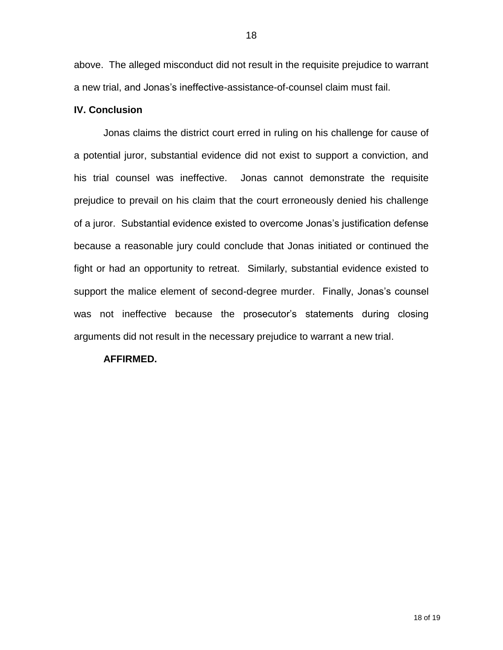above. The alleged misconduct did not result in the requisite prejudice to warrant a new trial, and Jonas's ineffective-assistance-of-counsel claim must fail.

### **IV. Conclusion**

Jonas claims the district court erred in ruling on his challenge for cause of a potential juror, substantial evidence did not exist to support a conviction, and his trial counsel was ineffective. Jonas cannot demonstrate the requisite prejudice to prevail on his claim that the court erroneously denied his challenge of a juror. Substantial evidence existed to overcome Jonas's justification defense because a reasonable jury could conclude that Jonas initiated or continued the fight or had an opportunity to retreat. Similarly, substantial evidence existed to support the malice element of second-degree murder. Finally, Jonas's counsel was not ineffective because the prosecutor's statements during closing arguments did not result in the necessary prejudice to warrant a new trial.

#### **AFFIRMED.**